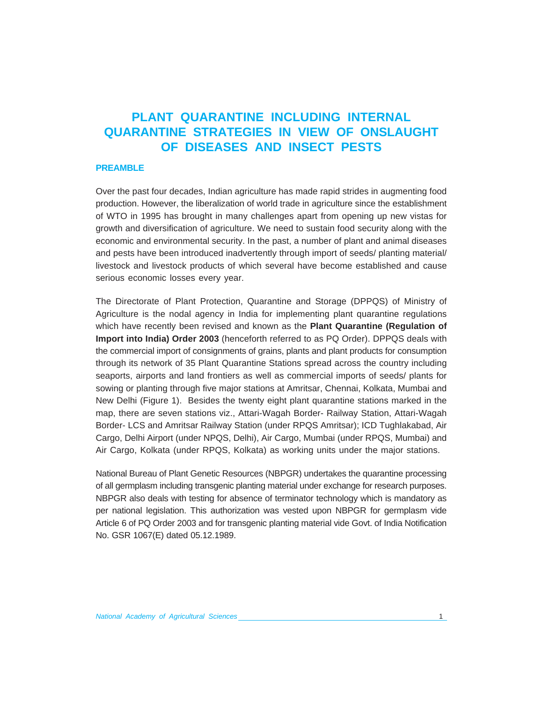# **PLANT QUARANTINE INCLUDING INTERNAL QUARANTINE STRATEGIES IN VIEW OF ONSLAUGHT OF DISEASES AND INSECT PESTS**

## **PREAMBLE**

Over the past four decades, Indian agriculture has made rapid strides in augmenting food production. However, the liberalization of world trade in agriculture since the establishment of WTO in 1995 has brought in many challenges apart from opening up new vistas for growth and diversification of agriculture. We need to sustain food security along with the economic and environmental security. In the past, a number of plant and animal diseases and pests have been introduced inadvertently through import of seeds/ planting material/ livestock and livestock products of which several have become established and cause serious economic losses every year.

The Directorate of Plant Protection, Quarantine and Storage (DPPQS) of Ministry of Agriculture is the nodal agency in India for implementing plant quarantine regulations which have recently been revised and known as the **Plant Quarantine (Regulation of Import into India) Order 2003** (henceforth referred to as PQ Order). DPPQS deals with the commercial import of consignments of grains, plants and plant products for consumption through its network of 35 Plant Quarantine Stations spread across the country including seaports, airports and land frontiers as well as commercial imports of seeds/ plants for sowing or planting through five major stations at Amritsar, Chennai, Kolkata, Mumbai and New Delhi (Figure 1). Besides the twenty eight plant quarantine stations marked in the map, there are seven stations viz., Attari-Wagah Border- Railway Station, Attari-Wagah Border- LCS and Amritsar Railway Station (under RPQS Amritsar); ICD Tughlakabad, Air Cargo, Delhi Airport (under NPQS, Delhi), Air Cargo, Mumbai (under RPQS, Mumbai) and Air Cargo, Kolkata (under RPQS, Kolkata) as working units under the major stations.

National Bureau of Plant Genetic Resources (NBPGR) undertakes the quarantine processing of all germplasm including transgenic planting material under exchange for research purposes. NBPGR also deals with testing for absence of terminator technology which is mandatory as per national legislation. This authorization was vested upon NBPGR for germplasm vide Article 6 of PQ Order 2003 and for transgenic planting material vide Govt. of India Notification No. GSR 1067(E) dated 05.12.1989.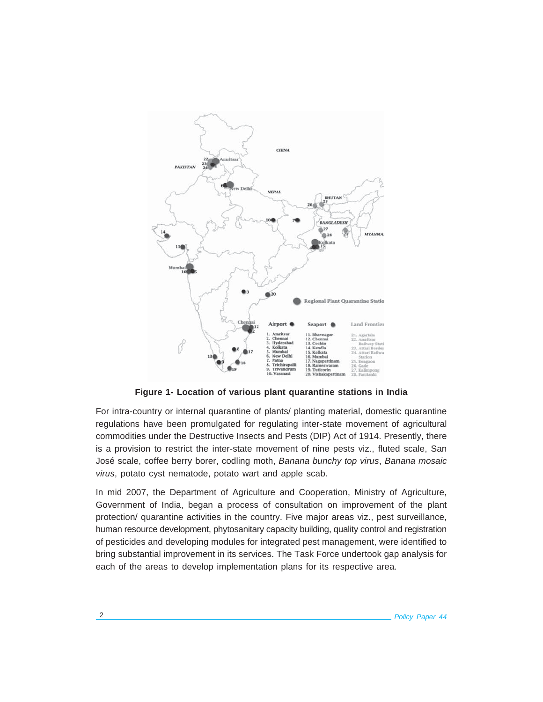

**Figure 1- Location of various plant quarantine stations in India**

For intra-country or internal quarantine of plants/ planting material, domestic quarantine regulations have been promulgated for regulating inter-state movement of agricultural commodities under the Destructive Insects and Pests (DIP) Act of 1914. Presently, there is a provision to restrict the inter-state movement of nine pests viz., fluted scale, San José scale, coffee berry borer, codling moth, *Banana bunchy top virus*, *Banana mosaic virus*, potato cyst nematode, potato wart and apple scab.

In mid 2007, the Department of Agriculture and Cooperation, Ministry of Agriculture, Government of India, began a process of consultation on improvement of the plant protection/ quarantine activities in the country. Five major areas viz., pest surveillance, human resource development, phytosanitary capacity building, quality control and registration of pesticides and developing modules for integrated pest management, were identified to bring substantial improvement in its services. The Task Force undertook gap analysis for each of the areas to develop implementation plans for its respective area.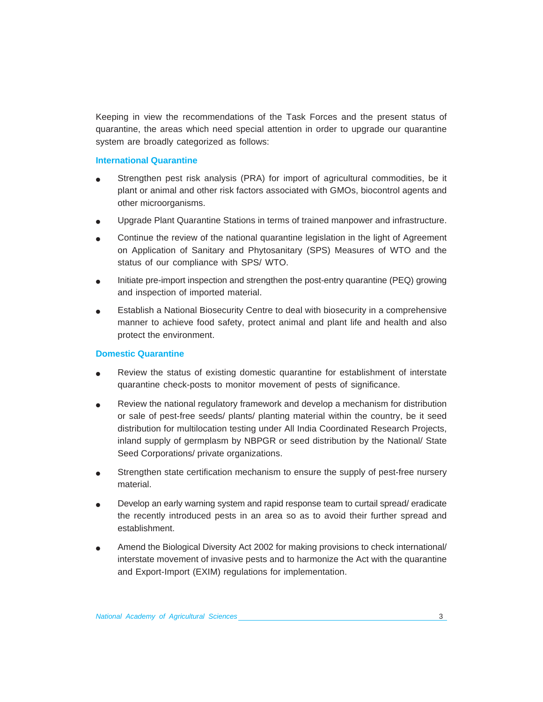Keeping in view the recommendations of the Task Forces and the present status of quarantine, the areas which need special attention in order to upgrade our quarantine system are broadly categorized as follows:

## **International Quarantine**

- Strengthen pest risk analysis (PRA) for import of agricultural commodities, be it plant or animal and other risk factors associated with GMOs, biocontrol agents and other microorganisms.
- Upgrade Plant Quarantine Stations in terms of trained manpower and infrastructure.
- Continue the review of the national quarantine legislation in the light of Agreement on Application of Sanitary and Phytosanitary (SPS) Measures of WTO and the status of our compliance with SPS/ WTO.
- Initiate pre-import inspection and strengthen the post-entry quarantine (PEQ) growing and inspection of imported material.
- Establish a National Biosecurity Centre to deal with biosecurity in a comprehensive manner to achieve food safety, protect animal and plant life and health and also protect the environment.

## **Domestic Quarantine**

- Review the status of existing domestic quarantine for establishment of interstate quarantine check-posts to monitor movement of pests of significance.
- Review the national regulatory framework and develop a mechanism for distribution or sale of pest-free seeds/ plants/ planting material within the country, be it seed distribution for multilocation testing under All India Coordinated Research Projects, inland supply of germplasm by NBPGR or seed distribution by the National/ State Seed Corporations/ private organizations.
- Strengthen state certification mechanism to ensure the supply of pest-free nursery material.
- Develop an early warning system and rapid response team to curtail spread/ eradicate the recently introduced pests in an area so as to avoid their further spread and establishment.
- Amend the Biological Diversity Act 2002 for making provisions to check international/ interstate movement of invasive pests and to harmonize the Act with the quarantine and Export-Import (EXIM) regulations for implementation.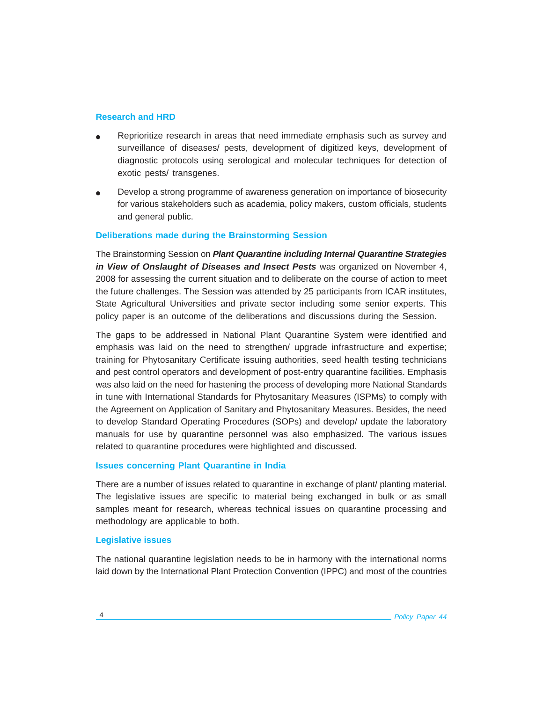## **Research and HRD**

- Reprioritize research in areas that need immediate emphasis such as survey and surveillance of diseases/ pests, development of digitized keys, development of diagnostic protocols using serological and molecular techniques for detection of exotic pests/ transgenes.
- Develop a strong programme of awareness generation on importance of biosecurity for various stakeholders such as academia, policy makers, custom officials, students and general public.

## **Deliberations made during the Brainstorming Session**

The Brainstorming Session on *Plant Quarantine including Internal Quarantine Strategies in View of Onslaught of Diseases and Insect Pests* was organized on November 4, 2008 for assessing the current situation and to deliberate on the course of action to meet the future challenges. The Session was attended by 25 participants from ICAR institutes, State Agricultural Universities and private sector including some senior experts. This policy paper is an outcome of the deliberations and discussions during the Session.

The gaps to be addressed in National Plant Quarantine System were identified and emphasis was laid on the need to strengthen/ upgrade infrastructure and expertise; training for Phytosanitary Certificate issuing authorities, seed health testing technicians and pest control operators and development of post-entry quarantine facilities. Emphasis was also laid on the need for hastening the process of developing more National Standards in tune with International Standards for Phytosanitary Measures (ISPMs) to comply with the Agreement on Application of Sanitary and Phytosanitary Measures. Besides, the need to develop Standard Operating Procedures (SOPs) and develop/ update the laboratory manuals for use by quarantine personnel was also emphasized. The various issues related to quarantine procedures were highlighted and discussed.

#### **Issues concerning Plant Quarantine in India**

There are a number of issues related to quarantine in exchange of plant/ planting material. The legislative issues are specific to material being exchanged in bulk or as small samples meant for research, whereas technical issues on quarantine processing and methodology are applicable to both.

#### **Legislative issues**

The national quarantine legislation needs to be in harmony with the international norms laid down by the International Plant Protection Convention (IPPC) and most of the countries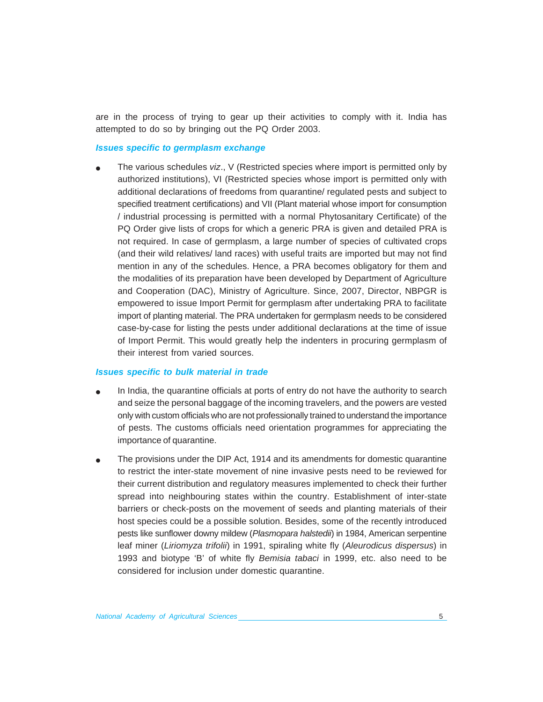are in the process of trying to gear up their activities to comply with it. India has attempted to do so by bringing out the PQ Order 2003.

## *Issues specific to germplasm exchange*

The various schedules *viz.*, V (Restricted species where import is permitted only by authorized institutions), VI (Restricted species whose import is permitted only with additional declarations of freedoms from quarantine/ regulated pests and subject to specified treatment certifications) and VII (Plant material whose import for consumption / industrial processing is permitted with a normal Phytosanitary Certificate) of the PQ Order give lists of crops for which a generic PRA is given and detailed PRA is not required. In case of germplasm, a large number of species of cultivated crops (and their wild relatives/ land races) with useful traits are imported but may not find mention in any of the schedules. Hence, a PRA becomes obligatory for them and the modalities of its preparation have been developed by Department of Agriculture and Cooperation (DAC), Ministry of Agriculture. Since, 2007, Director, NBPGR is empowered to issue Import Permit for germplasm after undertaking PRA to facilitate import of planting material. The PRA undertaken for germplasm needs to be considered case-by-case for listing the pests under additional declarations at the time of issue of Import Permit. This would greatly help the indenters in procuring germplasm of their interest from varied sources.

#### *Issues specific to bulk material in trade*

- In India, the quarantine officials at ports of entry do not have the authority to search and seize the personal baggage of the incoming travelers, and the powers are vested only with custom officials who are not professionally trained to understand the importance of pests. The customs officials need orientation programmes for appreciating the importance of quarantine.
- The provisions under the DIP Act, 1914 and its amendments for domestic quarantine to restrict the inter-state movement of nine invasive pests need to be reviewed for their current distribution and regulatory measures implemented to check their further spread into neighbouring states within the country. Establishment of inter-state barriers or check-posts on the movement of seeds and planting materials of their host species could be a possible solution. Besides, some of the recently introduced pests like sunflower downy mildew (*Plasmopara halstedii*) in 1984, American serpentine leaf miner (*Liriomyza trifolii*) in 1991, spiraling white fly (*Aleurodicus dispersus*) in 1993 and biotype 'B' of white fly *Bemisia tabaci* in 1999, etc. also need to be considered for inclusion under domestic quarantine.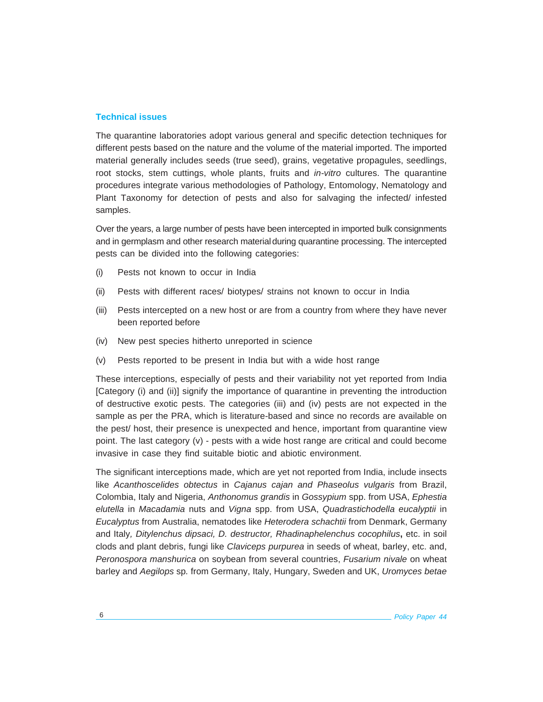## **Technical issues**

The quarantine laboratories adopt various general and specific detection techniques for different pests based on the nature and the volume of the material imported. The imported material generally includes seeds (true seed), grains, vegetative propagules, seedlings, root stocks, stem cuttings, whole plants, fruits and *in-vitro* cultures. The quarantine procedures integrate various methodologies of Pathology, Entomology, Nematology and Plant Taxonomy for detection of pests and also for salvaging the infected/ infested samples.

Over the years, a large number of pests have been intercepted in imported bulk consignments and in germplasm and other research materialduring quarantine processing. The intercepted pests can be divided into the following categories:

- (i) Pests not known to occur in India
- (ii) Pests with different races/ biotypes/ strains not known to occur in India
- (iii) Pests intercepted on a new host or are from a country from where they have never been reported before
- (iv) New pest species hitherto unreported in science
- (v) Pests reported to be present in India but with a wide host range

These interceptions, especially of pests and their variability not yet reported from India [Category (i) and (ii)] signify the importance of quarantine in preventing the introduction of destructive exotic pests. The categories (iii) and (iv) pests are not expected in the sample as per the PRA, which is literature-based and since no records are available on the pest/ host, their presence is unexpected and hence, important from quarantine view point. The last category (v) - pests with a wide host range are critical and could become invasive in case they find suitable biotic and abiotic environment.

The significant interceptions made, which are yet not reported from India, include insects like *Acanthoscelides obtectus* in *Cajanus cajan and Phaseolus vulgaris* from Brazil, Colombia, Italy and Nigeria, *Anthonomus grandis* in *Gossypium* spp. from USA, *Ephestia elutella* in *Macadamia* nuts and *Vigna* spp. from USA, *Quadrastichodella eucalyptii* in *Eucalyptus* from Australia, nematodes like *Heterodera schachtii* from Denmark, Germany and Italy*, Ditylenchus dipsaci, D. destructor, Rhadinaphelenchus cocophilus***,** etc. in soil clods and plant debris, fungi like *Claviceps purpurea* in seeds of wheat, barley, etc. and, *Peronospora manshurica* on soybean from several countries, *Fusarium nivale* on wheat barley and *Aegilops* sp*.* from Germany, Italy, Hungary, Sweden and UK, *Uromyces betae*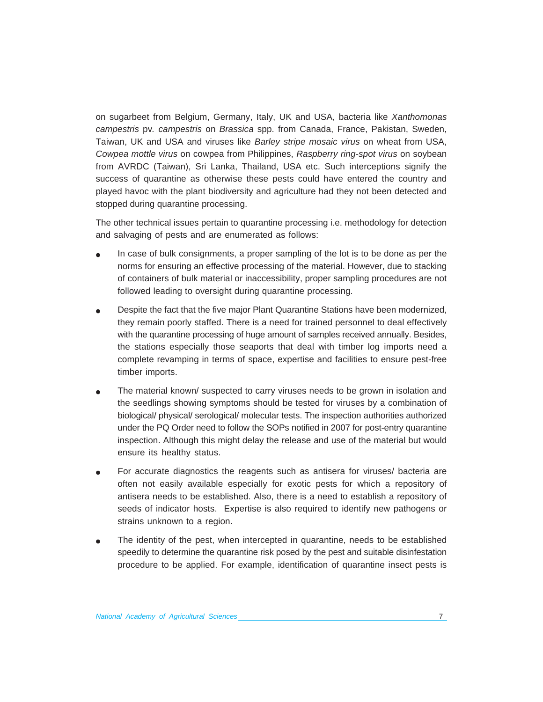on sugarbeet from Belgium, Germany, Italy, UK and USA, bacteria like *Xanthomonas campestris* pv*. campestris* on *Brassica* spp. from Canada, France, Pakistan, Sweden, Taiwan, UK and USA and viruses like *Barley stripe mosaic virus* on wheat from USA, *Cowpea mottle virus* on cowpea from Philippines, *Raspberry ring-spot virus* on soybean from AVRDC (Taiwan), Sri Lanka, Thailand, USA etc. Such interceptions signify the success of quarantine as otherwise these pests could have entered the country and played havoc with the plant biodiversity and agriculture had they not been detected and stopped during quarantine processing.

The other technical issues pertain to quarantine processing i.e. methodology for detection and salvaging of pests and are enumerated as follows:

- In case of bulk consignments, a proper sampling of the lot is to be done as per the norms for ensuring an effective processing of the material. However, due to stacking of containers of bulk material or inaccessibility, proper sampling procedures are not followed leading to oversight during quarantine processing.
- Despite the fact that the five major Plant Quarantine Stations have been modernized, they remain poorly staffed. There is a need for trained personnel to deal effectively with the quarantine processing of huge amount of samples received annually. Besides, the stations especially those seaports that deal with timber log imports need a complete revamping in terms of space, expertise and facilities to ensure pest-free timber imports.
- The material known/ suspected to carry viruses needs to be grown in isolation and the seedlings showing symptoms should be tested for viruses by a combination of biological/ physical/ serological/ molecular tests. The inspection authorities authorized under the PQ Order need to follow the SOPs notified in 2007 for post-entry quarantine inspection. Although this might delay the release and use of the material but would ensure its healthy status.
- For accurate diagnostics the reagents such as antisera for viruses/ bacteria are often not easily available especially for exotic pests for which a repository of antisera needs to be established. Also, there is a need to establish a repository of seeds of indicator hosts. Expertise is also required to identify new pathogens or strains unknown to a region.
- The identity of the pest, when intercepted in quarantine, needs to be established speedily to determine the quarantine risk posed by the pest and suitable disinfestation procedure to be applied. For example, identification of quarantine insect pests is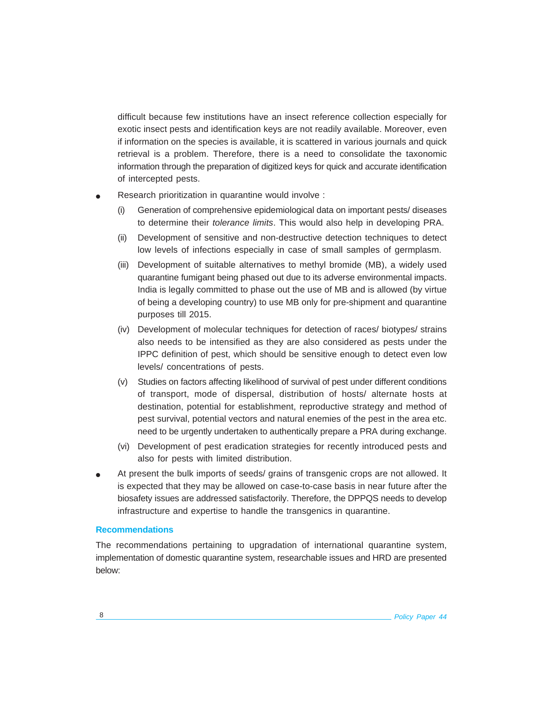difficult because few institutions have an insect reference collection especially for exotic insect pests and identification keys are not readily available. Moreover, even if information on the species is available, it is scattered in various journals and quick retrieval is a problem. Therefore, there is a need to consolidate the taxonomic information through the preparation of digitized keys for quick and accurate identification of intercepted pests.

- Research prioritization in quarantine would involve :
	- (i) Generation of comprehensive epidemiological data on important pests/ diseases to determine their *tolerance limits*. This would also help in developing PRA.
	- (ii) Development of sensitive and non-destructive detection techniques to detect low levels of infections especially in case of small samples of germplasm.
	- (iii) Development of suitable alternatives to methyl bromide (MB), a widely used quarantine fumigant being phased out due to its adverse environmental impacts. India is legally committed to phase out the use of MB and is allowed (by virtue of being a developing country) to use MB only for pre-shipment and quarantine purposes till 2015.
	- (iv) Development of molecular techniques for detection of races/ biotypes/ strains also needs to be intensified as they are also considered as pests under the IPPC definition of pest, which should be sensitive enough to detect even low levels/ concentrations of pests.
	- (v) Studies on factors affecting likelihood of survival of pest under different conditions of transport, mode of dispersal, distribution of hosts/ alternate hosts at destination, potential for establishment, reproductive strategy and method of pest survival, potential vectors and natural enemies of the pest in the area etc. need to be urgently undertaken to authentically prepare a PRA during exchange.
	- (vi) Development of pest eradication strategies for recently introduced pests and also for pests with limited distribution.
- At present the bulk imports of seeds/ grains of transgenic crops are not allowed. It is expected that they may be allowed on case-to-case basis in near future after the biosafety issues are addressed satisfactorily. Therefore, the DPPQS needs to develop infrastructure and expertise to handle the transgenics in quarantine.

## **Recommendations**

The recommendations pertaining to upgradation of international quarantine system, implementation of domestic quarantine system, researchable issues and HRD are presented below: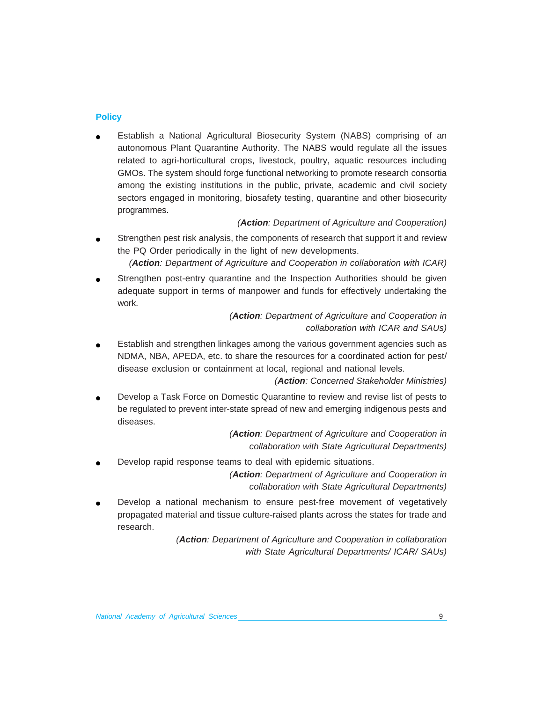## **Policy**

Establish a National Agricultural Biosecurity System (NABS) comprising of an autonomous Plant Quarantine Authority. The NABS would regulate all the issues related to agri-horticultural crops, livestock, poultry, aquatic resources including GMOs. The system should forge functional networking to promote research consortia among the existing institutions in the public, private, academic and civil society sectors engaged in monitoring, biosafety testing, quarantine and other biosecurity programmes.

*(Action: Department of Agriculture and Cooperation)*

Strengthen pest risk analysis, the components of research that support it and review the PQ Order periodically in the light of new developments.

*(Action: Department of Agriculture and Cooperation in collaboration with ICAR)*

Strengthen post-entry quarantine and the Inspection Authorities should be given adequate support in terms of manpower and funds for effectively undertaking the work.

## *(Action: Department of Agriculture and Cooperation in collaboration with ICAR and SAUs)*

Establish and strengthen linkages among the various government agencies such as NDMA, NBA, APEDA, etc. to share the resources for a coordinated action for pest/ disease exclusion or containment at local, regional and national levels.

*(Action: Concerned Stakeholder Ministries)*

Develop a Task Force on Domestic Quarantine to review and revise list of pests to be regulated to prevent inter-state spread of new and emerging indigenous pests and diseases.

> *(Action: Department of Agriculture and Cooperation in collaboration with State Agricultural Departments)*

Develop rapid response teams to deal with epidemic situations.

*(Action: Department of Agriculture and Cooperation in collaboration with State Agricultural Departments)*

Develop a national mechanism to ensure pest-free movement of vegetatively propagated material and tissue culture-raised plants across the states for trade and research.

> *(Action: Department of Agriculture and Cooperation in collaboration with State Agricultural Departments/ ICAR/ SAUs)*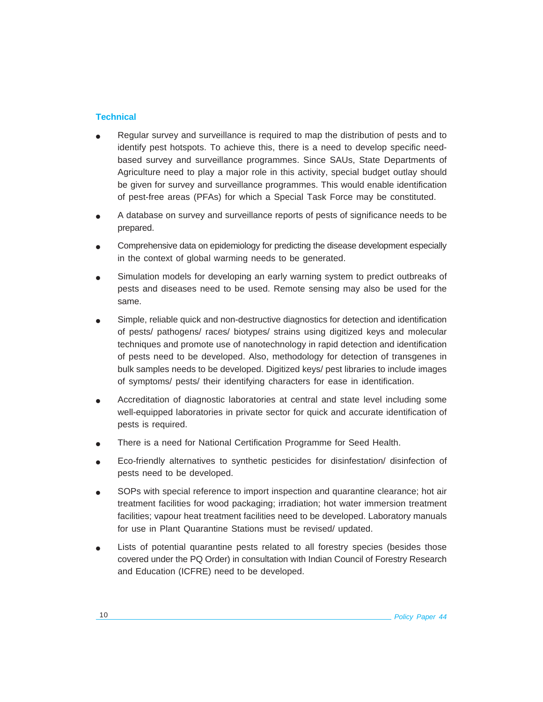## **Technical**

- Regular survey and surveillance is required to map the distribution of pests and to identify pest hotspots. To achieve this, there is a need to develop specific needbased survey and surveillance programmes. Since SAUs, State Departments of Agriculture need to play a major role in this activity, special budget outlay should be given for survey and surveillance programmes. This would enable identification of pest-free areas (PFAs) for which a Special Task Force may be constituted.
- A database on survey and surveillance reports of pests of significance needs to be prepared.
- Comprehensive data on epidemiology for predicting the disease development especially in the context of global warming needs to be generated.
- Simulation models for developing an early warning system to predict outbreaks of pests and diseases need to be used. Remote sensing may also be used for the same.
- Simple, reliable quick and non-destructive diagnostics for detection and identification of pests/ pathogens/ races/ biotypes/ strains using digitized keys and molecular techniques and promote use of nanotechnology in rapid detection and identification of pests need to be developed. Also, methodology for detection of transgenes in bulk samples needs to be developed. Digitized keys/ pest libraries to include images of symptoms/ pests/ their identifying characters for ease in identification.
- Accreditation of diagnostic laboratories at central and state level including some well-equipped laboratories in private sector for quick and accurate identification of pests is required.
- There is a need for National Certification Programme for Seed Health.
- Eco-friendly alternatives to synthetic pesticides for disinfestation/ disinfection of pests need to be developed.
- SOPs with special reference to import inspection and quarantine clearance; hot air treatment facilities for wood packaging; irradiation; hot water immersion treatment facilities; vapour heat treatment facilities need to be developed. Laboratory manuals for use in Plant Quarantine Stations must be revised/ updated.
- Lists of potential quarantine pests related to all forestry species (besides those covered under the PQ Order) in consultation with Indian Council of Forestry Research and Education (ICFRE) need to be developed.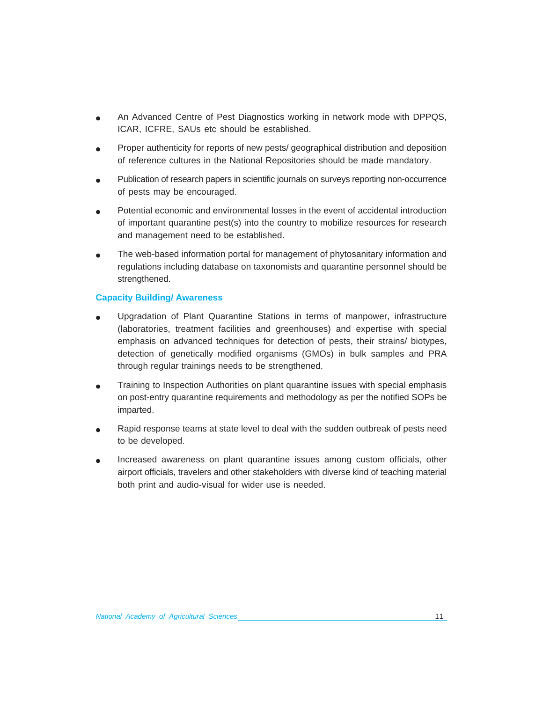- An Advanced Centre of Pest Diagnostics working in network mode with DPPQS, ICAR, ICFRE, SAUs etc should be established.
- Proper authenticity for reports of new pests/ geographical distribution and deposition of reference cultures in the National Repositories should be made mandatory.
- Publication of research papers in scientific journals on surveys reporting non-occurrence of pests may be encouraged.
- Potential economic and environmental losses in the event of accidental introduction of important quarantine pest(s) into the country to mobilize resources for research and management need to be established.
- The web-based information portal for management of phytosanitary information and regulations including database on taxonomists and quarantine personnel should be strengthened.

## **Capacity Building/ Awareness**

- Upgradation of Plant Quarantine Stations in terms of manpower, infrastructure (laboratories, treatment facilities and greenhouses) and expertise with special emphasis on advanced techniques for detection of pests, their strains/ biotypes, detection of genetically modified organisms (GMOs) in bulk samples and PRA through regular trainings needs to be strengthened.
- Training to Inspection Authorities on plant quarantine issues with special emphasis on post-entry quarantine requirements and methodology as per the notified SOPs be imparted.
- Rapid response teams at state level to deal with the sudden outbreak of pests need to be developed.
- Increased awareness on plant quarantine issues among custom officials, other airport officials, travelers and other stakeholders with diverse kind of teaching material both print and audio-visual for wider use is needed.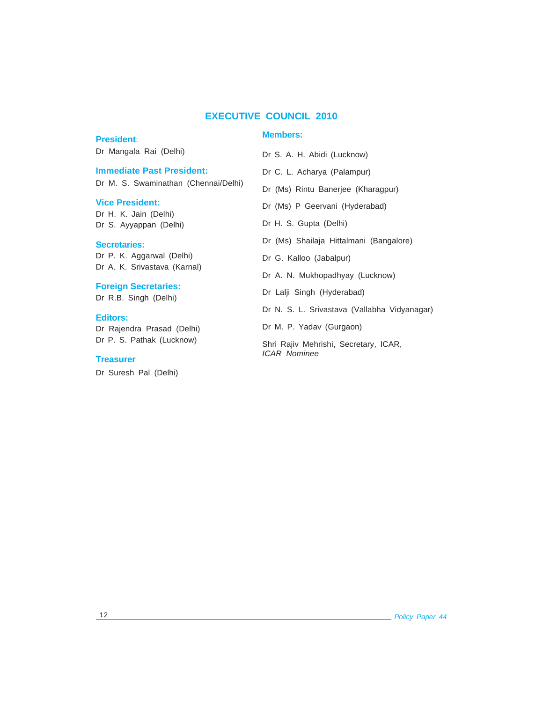## **EXECUTIVE COUNCIL 2010**

## **President**:

**Members:**

Dr S. A. H. Abidi (Lucknow) Dr C. L. Acharya (Palampur) Dr (Ms) Rintu Banerjee (Kharagpur) Dr (Ms) P Geervani (Hyderabad) Dr H. S. Gupta (Delhi) Dr (Ms) Shailaja Hittalmani (Bangalore) Dr G. Kalloo (Jabalpur) Dr A. N. Mukhopadhyay (Lucknow) Dr Lalji Singh (Hyderabad) Dr N. S. L. Srivastava (Vallabha Vidyanagar) Dr M. P. Yadav (Gurgaon) Dr Mangala Rai (Delhi) **Immediate Past President:** Dr M. S. Swaminathan (Chennai/Delhi) **Foreign Secretaries:** Dr R.B. Singh (Delhi)

> Shri Rajiv Mehrishi, Secretary, ICAR, *ICAR Nominee*

#### **Vice President:**

Dr H. K. Jain (Delhi) Dr S. Ayyappan (Delhi)

## **Secretaries:**

Dr P. K. Aggarwal (Delhi) Dr A. K. Srivastava (Karnal)

#### **Editors:**

Dr Rajendra Prasad (Delhi) Dr P. S. Pathak (Lucknow)

## **Treasurer**

Dr Suresh Pal (Delhi)

#### 12 *Policy Paper 44*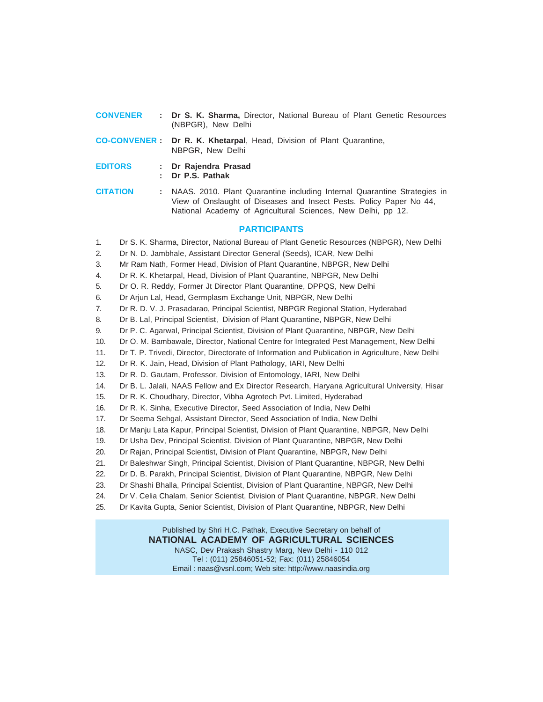| <b>CONVENER</b> | : Dr S. K. Sharma. Director. National Bureau of Plant Genetic Resources<br>(NBPGR), New Delhi   |
|-----------------|-------------------------------------------------------------------------------------------------|
|                 | <b>CO-CONVENER:</b> Dr R. K. Khetarpal, Head, Division of Plant Quarantine,<br>NBPGR. New Delhi |

**EDITORS : Dr Rajendra Prasad**

**: Dr P.S. Pathak**

**CITATION :** NAAS. 2010. Plant Quarantine including Internal Quarantine Strategies in View of Onslaught of Diseases and Insect Pests. Policy Paper No 44, National Academy of Agricultural Sciences, New Delhi, pp 12.

## **PARTICIPANTS**

- 1. Dr S. K. Sharma, Director, National Bureau of Plant Genetic Resources (NBPGR), New Delhi
- 2. Dr N. D. Jambhale, Assistant Director General (Seeds), ICAR, New Delhi
- 3. Mr Ram Nath, Former Head, Division of Plant Quarantine, NBPGR, New Delhi
- 4. Dr R. K. Khetarpal, Head, Division of Plant Quarantine, NBPGR, New Delhi
- 5. Dr O. R. Reddy, Former Jt Director Plant Quarantine, DPPQS, New Delhi
- 6. Dr Arjun Lal, Head, Germplasm Exchange Unit, NBPGR, New Delhi
- 7. Dr R. D. V. J. Prasadarao, Principal Scientist, NBPGR Regional Station, Hyderabad
- 8. Dr B. Lal, Principal Scientist, Division of Plant Quarantine, NBPGR, New Delhi
- 9. Dr P. C. Agarwal, Principal Scientist, Division of Plant Quarantine, NBPGR, New Delhi
- 10. Dr O. M. Bambawale, Director, National Centre for Integrated Pest Management, New Delhi
- 11. Dr T. P. Trivedi, Director, Directorate of Information and Publication in Agriculture, New Delhi
- 12. Dr R. K. Jain, Head, Division of Plant Pathology, IARI, New Delhi
- 13. Dr R. D. Gautam, Professor, Division of Entomology, IARI, New Delhi
- 14. Dr B. L. Jalali, NAAS Fellow and Ex Director Research, Haryana Agricultural University, Hisar
- 15. Dr R. K. Choudhary, Director, Vibha Agrotech Pvt. Limited, Hyderabad
- 16. Dr R. K. Sinha, Executive Director, Seed Association of India, New Delhi
- 17. Dr Seema Sehgal, Assistant Director, Seed Association of India, New Delhi
- 18. Dr Manju Lata Kapur, Principal Scientist, Division of Plant Quarantine, NBPGR, New Delhi
- 19. Dr Usha Dev, Principal Scientist, Division of Plant Quarantine, NBPGR, New Delhi
- 20. Dr Rajan, Principal Scientist, Division of Plant Quarantine, NBPGR, New Delhi
- 21. Dr Baleshwar Singh, Principal Scientist, Division of Plant Quarantine, NBPGR, New Delhi
- 22. Dr D. B. Parakh, Principal Scientist, Division of Plant Quarantine, NBPGR, New Delhi
- 23. Dr Shashi Bhalla, Principal Scientist, Division of Plant Quarantine, NBPGR, New Delhi
- 24. Dr V. Celia Chalam, Senior Scientist, Division of Plant Quarantine, NBPGR, New Delhi
- 25. Dr Kavita Gupta, Senior Scientist, Division of Plant Quarantine, NBPGR, New Delhi

Published by Shri H.C. Pathak, Executive Secretary on behalf of

**NATIONAL ACADEMY OF AGRICULTURAL SCIENCES**

NASC, Dev Prakash Shastry Marg, New Delhi - 110 012 Tel : (011) 25846051-52; Fax: (011) 25846054 Email : naas@vsnl.com; Web site: http://www.naasindia.org